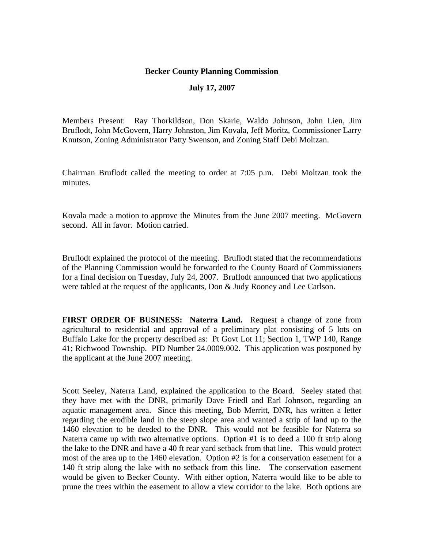## **Becker County Planning Commission**

## **July 17, 2007**

Members Present: Ray Thorkildson, Don Skarie, Waldo Johnson, John Lien, Jim Bruflodt, John McGovern, Harry Johnston, Jim Kovala, Jeff Moritz, Commissioner Larry Knutson, Zoning Administrator Patty Swenson, and Zoning Staff Debi Moltzan.

Chairman Bruflodt called the meeting to order at 7:05 p.m. Debi Moltzan took the minutes.

Kovala made a motion to approve the Minutes from the June 2007 meeting. McGovern second. All in favor. Motion carried.

Bruflodt explained the protocol of the meeting. Bruflodt stated that the recommendations of the Planning Commission would be forwarded to the County Board of Commissioners for a final decision on Tuesday, July 24, 2007. Bruflodt announced that two applications were tabled at the request of the applicants, Don & Judy Rooney and Lee Carlson.

**FIRST ORDER OF BUSINESS: Naterra Land.** Request a change of zone from agricultural to residential and approval of a preliminary plat consisting of 5 lots on Buffalo Lake for the property described as: Pt Govt Lot 11; Section 1, TWP 140, Range 41; Richwood Township. PID Number 24.0009.002. This application was postponed by the applicant at the June 2007 meeting.

Scott Seeley, Naterra Land, explained the application to the Board. Seeley stated that they have met with the DNR, primarily Dave Friedl and Earl Johnson, regarding an aquatic management area. Since this meeting, Bob Merritt, DNR, has written a letter regarding the erodible land in the steep slope area and wanted a strip of land up to the 1460 elevation to be deeded to the DNR. This would not be feasible for Naterra so Naterra came up with two alternative options. Option #1 is to deed a 100 ft strip along the lake to the DNR and have a 40 ft rear yard setback from that line. This would protect most of the area up to the 1460 elevation. Option #2 is for a conservation easement for a 140 ft strip along the lake with no setback from this line. The conservation easement would be given to Becker County. With either option, Naterra would like to be able to prune the trees within the easement to allow a view corridor to the lake. Both options are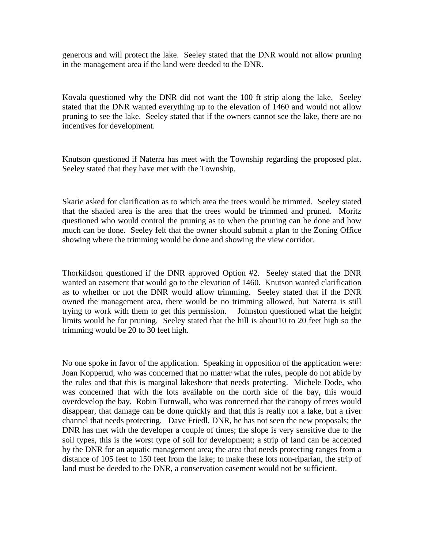generous and will protect the lake. Seeley stated that the DNR would not allow pruning in the management area if the land were deeded to the DNR.

Kovala questioned why the DNR did not want the 100 ft strip along the lake. Seeley stated that the DNR wanted everything up to the elevation of 1460 and would not allow pruning to see the lake. Seeley stated that if the owners cannot see the lake, there are no incentives for development.

Knutson questioned if Naterra has meet with the Township regarding the proposed plat. Seeley stated that they have met with the Township.

Skarie asked for clarification as to which area the trees would be trimmed. Seeley stated that the shaded area is the area that the trees would be trimmed and pruned. Moritz questioned who would control the pruning as to when the pruning can be done and how much can be done. Seeley felt that the owner should submit a plan to the Zoning Office showing where the trimming would be done and showing the view corridor.

Thorkildson questioned if the DNR approved Option #2. Seeley stated that the DNR wanted an easement that would go to the elevation of 1460. Knutson wanted clarification as to whether or not the DNR would allow trimming. Seeley stated that if the DNR owned the management area, there would be no trimming allowed, but Naterra is still trying to work with them to get this permission. Johnston questioned what the height limits would be for pruning. Seeley stated that the hill is about10 to 20 feet high so the trimming would be 20 to 30 feet high.

No one spoke in favor of the application. Speaking in opposition of the application were: Joan Kopperud, who was concerned that no matter what the rules, people do not abide by the rules and that this is marginal lakeshore that needs protecting. Michele Dode, who was concerned that with the lots available on the north side of the bay, this would overdevelop the bay. Robin Turnwall, who was concerned that the canopy of trees would disappear, that damage can be done quickly and that this is really not a lake, but a river channel that needs protecting. Dave Friedl, DNR, he has not seen the new proposals; the DNR has met with the developer a couple of times; the slope is very sensitive due to the soil types, this is the worst type of soil for development; a strip of land can be accepted by the DNR for an aquatic management area; the area that needs protecting ranges from a distance of 105 feet to 150 feet from the lake; to make these lots non-riparian, the strip of land must be deeded to the DNR, a conservation easement would not be sufficient.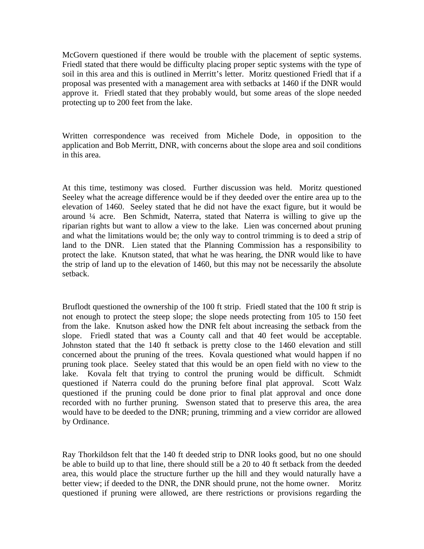McGovern questioned if there would be trouble with the placement of septic systems. Friedl stated that there would be difficulty placing proper septic systems with the type of soil in this area and this is outlined in Merritt's letter. Moritz questioned Friedl that if a proposal was presented with a management area with setbacks at 1460 if the DNR would approve it. Friedl stated that they probably would, but some areas of the slope needed protecting up to 200 feet from the lake.

Written correspondence was received from Michele Dode, in opposition to the application and Bob Merritt, DNR, with concerns about the slope area and soil conditions in this area.

At this time, testimony was closed. Further discussion was held. Moritz questioned Seeley what the acreage difference would be if they deeded over the entire area up to the elevation of 1460. Seeley stated that he did not have the exact figure, but it would be around ¼ acre. Ben Schmidt, Naterra, stated that Naterra is willing to give up the riparian rights but want to allow a view to the lake. Lien was concerned about pruning and what the limitations would be; the only way to control trimming is to deed a strip of land to the DNR. Lien stated that the Planning Commission has a responsibility to protect the lake. Knutson stated, that what he was hearing, the DNR would like to have the strip of land up to the elevation of 1460, but this may not be necessarily the absolute setback.

Bruflodt questioned the ownership of the 100 ft strip. Friedl stated that the 100 ft strip is not enough to protect the steep slope; the slope needs protecting from 105 to 150 feet from the lake. Knutson asked how the DNR felt about increasing the setback from the slope. Friedl stated that was a County call and that 40 feet would be acceptable. Johnston stated that the 140 ft setback is pretty close to the 1460 elevation and still concerned about the pruning of the trees. Kovala questioned what would happen if no pruning took place. Seeley stated that this would be an open field with no view to the lake. Kovala felt that trying to control the pruning would be difficult. Schmidt questioned if Naterra could do the pruning before final plat approval. Scott Walz questioned if the pruning could be done prior to final plat approval and once done recorded with no further pruning. Swenson stated that to preserve this area, the area would have to be deeded to the DNR; pruning, trimming and a view corridor are allowed by Ordinance.

Ray Thorkildson felt that the 140 ft deeded strip to DNR looks good, but no one should be able to build up to that line, there should still be a 20 to 40 ft setback from the deeded area, this would place the structure further up the hill and they would naturally have a better view; if deeded to the DNR, the DNR should prune, not the home owner. Moritz questioned if pruning were allowed, are there restrictions or provisions regarding the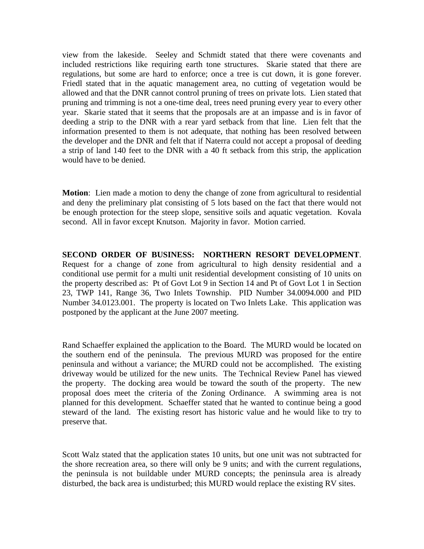view from the lakeside. Seeley and Schmidt stated that there were covenants and included restrictions like requiring earth tone structures. Skarie stated that there are regulations, but some are hard to enforce; once a tree is cut down, it is gone forever. Friedl stated that in the aquatic management area, no cutting of vegetation would be allowed and that the DNR cannot control pruning of trees on private lots. Lien stated that pruning and trimming is not a one-time deal, trees need pruning every year to every other year. Skarie stated that it seems that the proposals are at an impasse and is in favor of deeding a strip to the DNR with a rear yard setback from that line. Lien felt that the information presented to them is not adequate, that nothing has been resolved between the developer and the DNR and felt that if Naterra could not accept a proposal of deeding a strip of land 140 feet to the DNR with a 40 ft setback from this strip, the application would have to be denied.

**Motion**: Lien made a motion to deny the change of zone from agricultural to residential and deny the preliminary plat consisting of 5 lots based on the fact that there would not be enough protection for the steep slope, sensitive soils and aquatic vegetation. Kovala second. All in favor except Knutson. Majority in favor. Motion carried.

**SECOND ORDER OF BUSINESS: NORTHERN RESORT DEVELOPMENT**. Request for a change of zone from agricultural to high density residential and a conditional use permit for a multi unit residential development consisting of 10 units on the property described as: Pt of Govt Lot 9 in Section 14 and Pt of Govt Lot 1 in Section 23, TWP 141, Range 36, Two Inlets Township. PID Number 34.0094.000 and PID Number 34.0123.001. The property is located on Two Inlets Lake. This application was postponed by the applicant at the June 2007 meeting.

Rand Schaeffer explained the application to the Board. The MURD would be located on the southern end of the peninsula. The previous MURD was proposed for the entire peninsula and without a variance; the MURD could not be accomplished. The existing driveway would be utilized for the new units. The Technical Review Panel has viewed the property. The docking area would be toward the south of the property. The new proposal does meet the criteria of the Zoning Ordinance. A swimming area is not planned for this development. Schaeffer stated that he wanted to continue being a good steward of the land. The existing resort has historic value and he would like to try to preserve that.

Scott Walz stated that the application states 10 units, but one unit was not subtracted for the shore recreation area, so there will only be 9 units; and with the current regulations, the peninsula is not buildable under MURD concepts; the peninsula area is already disturbed, the back area is undisturbed; this MURD would replace the existing RV sites.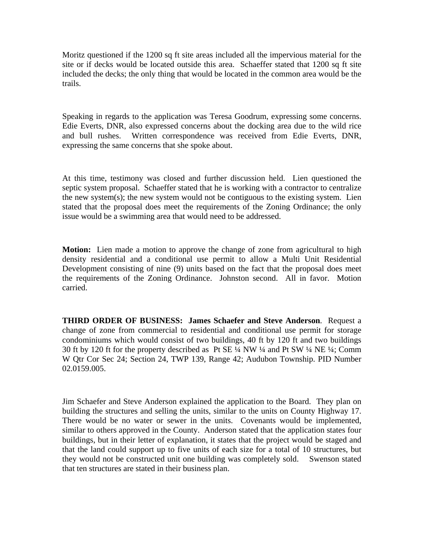Moritz questioned if the 1200 sq ft site areas included all the impervious material for the site or if decks would be located outside this area. Schaeffer stated that 1200 sq ft site included the decks; the only thing that would be located in the common area would be the trails.

Speaking in regards to the application was Teresa Goodrum, expressing some concerns. Edie Everts, DNR, also expressed concerns about the docking area due to the wild rice and bull rushes. Written correspondence was received from Edie Everts, DNR, expressing the same concerns that she spoke about.

At this time, testimony was closed and further discussion held. Lien questioned the septic system proposal. Schaeffer stated that he is working with a contractor to centralize the new system(s); the new system would not be contiguous to the existing system. Lien stated that the proposal does meet the requirements of the Zoning Ordinance; the only issue would be a swimming area that would need to be addressed.

**Motion:** Lien made a motion to approve the change of zone from agricultural to high density residential and a conditional use permit to allow a Multi Unit Residential Development consisting of nine (9) units based on the fact that the proposal does meet the requirements of the Zoning Ordinance. Johnston second. All in favor. Motion carried.

**THIRD ORDER OF BUSINESS: James Schaefer and Steve Anderson**. Request a change of zone from commercial to residential and conditional use permit for storage condominiums which would consist of two buildings, 40 ft by 120 ft and two buildings 30 ft by 120 ft for the property described as Pt SE ¼ NW ¼ and Pt SW ¼ NE ¼; Comm W Qtr Cor Sec 24; Section 24, TWP 139, Range 42; Audubon Township. PID Number 02.0159.005.

Jim Schaefer and Steve Anderson explained the application to the Board. They plan on building the structures and selling the units, similar to the units on County Highway 17. There would be no water or sewer in the units. Covenants would be implemented, similar to others approved in the County. Anderson stated that the application states four buildings, but in their letter of explanation, it states that the project would be staged and that the land could support up to five units of each size for a total of 10 structures, but they would not be constructed unit one building was completely sold. Swenson stated that ten structures are stated in their business plan.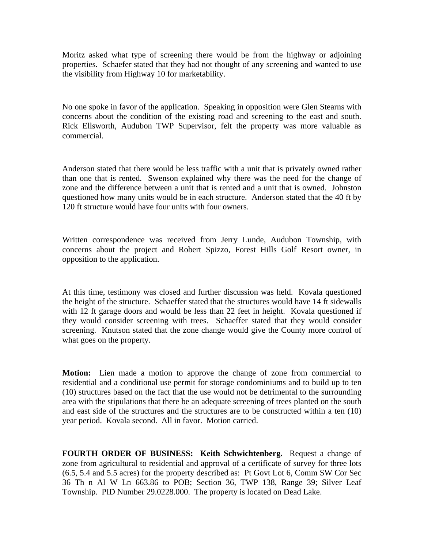Moritz asked what type of screening there would be from the highway or adjoining properties. Schaefer stated that they had not thought of any screening and wanted to use the visibility from Highway 10 for marketability.

No one spoke in favor of the application. Speaking in opposition were Glen Stearns with concerns about the condition of the existing road and screening to the east and south. Rick Ellsworth, Audubon TWP Supervisor, felt the property was more valuable as commercial.

Anderson stated that there would be less traffic with a unit that is privately owned rather than one that is rented. Swenson explained why there was the need for the change of zone and the difference between a unit that is rented and a unit that is owned. Johnston questioned how many units would be in each structure. Anderson stated that the 40 ft by 120 ft structure would have four units with four owners.

Written correspondence was received from Jerry Lunde, Audubon Township, with concerns about the project and Robert Spizzo, Forest Hills Golf Resort owner, in opposition to the application.

At this time, testimony was closed and further discussion was held. Kovala questioned the height of the structure. Schaeffer stated that the structures would have 14 ft sidewalls with 12 ft garage doors and would be less than 22 feet in height. Kovala questioned if they would consider screening with trees. Schaeffer stated that they would consider screening. Knutson stated that the zone change would give the County more control of what goes on the property.

**Motion:** Lien made a motion to approve the change of zone from commercial to residential and a conditional use permit for storage condominiums and to build up to ten (10) structures based on the fact that the use would not be detrimental to the surrounding area with the stipulations that there be an adequate screening of trees planted on the south and east side of the structures and the structures are to be constructed within a ten (10) year period. Kovala second. All in favor. Motion carried.

**FOURTH ORDER OF BUSINESS: Keith Schwichtenberg.** Request a change of zone from agricultural to residential and approval of a certificate of survey for three lots (6.5, 5.4 and 5.5 acres) for the property described as: Pt Govt Lot 6, Comm SW Cor Sec 36 Th n Al W Ln 663.86 to POB; Section 36, TWP 138, Range 39; Silver Leaf Township. PID Number 29.0228.000. The property is located on Dead Lake.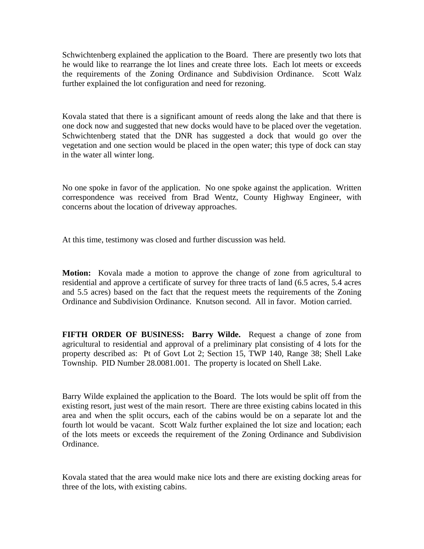Schwichtenberg explained the application to the Board. There are presently two lots that he would like to rearrange the lot lines and create three lots. Each lot meets or exceeds the requirements of the Zoning Ordinance and Subdivision Ordinance. Scott Walz further explained the lot configuration and need for rezoning.

Kovala stated that there is a significant amount of reeds along the lake and that there is one dock now and suggested that new docks would have to be placed over the vegetation. Schwichtenberg stated that the DNR has suggested a dock that would go over the vegetation and one section would be placed in the open water; this type of dock can stay in the water all winter long.

No one spoke in favor of the application. No one spoke against the application. Written correspondence was received from Brad Wentz, County Highway Engineer, with concerns about the location of driveway approaches.

At this time, testimony was closed and further discussion was held.

**Motion:** Kovala made a motion to approve the change of zone from agricultural to residential and approve a certificate of survey for three tracts of land (6.5 acres, 5.4 acres and 5.5 acres) based on the fact that the request meets the requirements of the Zoning Ordinance and Subdivision Ordinance. Knutson second. All in favor. Motion carried.

**FIFTH ORDER OF BUSINESS: Barry Wilde.** Request a change of zone from agricultural to residential and approval of a preliminary plat consisting of 4 lots for the property described as: Pt of Govt Lot 2; Section 15, TWP 140, Range 38; Shell Lake Township. PID Number 28.0081.001. The property is located on Shell Lake.

Barry Wilde explained the application to the Board. The lots would be split off from the existing resort, just west of the main resort. There are three existing cabins located in this area and when the split occurs, each of the cabins would be on a separate lot and the fourth lot would be vacant. Scott Walz further explained the lot size and location; each of the lots meets or exceeds the requirement of the Zoning Ordinance and Subdivision Ordinance.

Kovala stated that the area would make nice lots and there are existing docking areas for three of the lots, with existing cabins.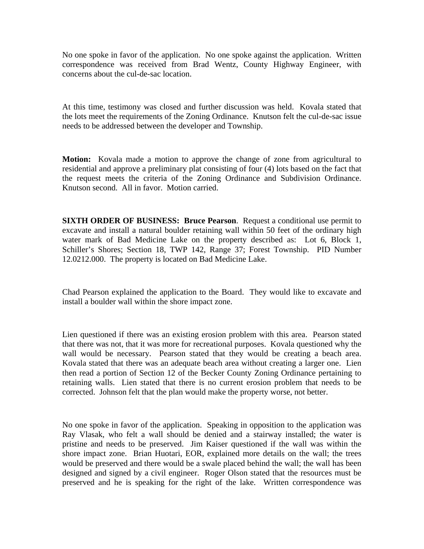No one spoke in favor of the application. No one spoke against the application. Written correspondence was received from Brad Wentz, County Highway Engineer, with concerns about the cul-de-sac location.

At this time, testimony was closed and further discussion was held. Kovala stated that the lots meet the requirements of the Zoning Ordinance. Knutson felt the cul-de-sac issue needs to be addressed between the developer and Township.

**Motion:** Kovala made a motion to approve the change of zone from agricultural to residential and approve a preliminary plat consisting of four (4) lots based on the fact that the request meets the criteria of the Zoning Ordinance and Subdivision Ordinance. Knutson second. All in favor. Motion carried.

**SIXTH ORDER OF BUSINESS: Bruce Pearson**. Request a conditional use permit to excavate and install a natural boulder retaining wall within 50 feet of the ordinary high water mark of Bad Medicine Lake on the property described as: Lot 6, Block 1, Schiller's Shores; Section 18, TWP 142, Range 37; Forest Township. PID Number 12.0212.000. The property is located on Bad Medicine Lake.

Chad Pearson explained the application to the Board. They would like to excavate and install a boulder wall within the shore impact zone.

Lien questioned if there was an existing erosion problem with this area. Pearson stated that there was not, that it was more for recreational purposes. Kovala questioned why the wall would be necessary. Pearson stated that they would be creating a beach area. Kovala stated that there was an adequate beach area without creating a larger one. Lien then read a portion of Section 12 of the Becker County Zoning Ordinance pertaining to retaining walls. Lien stated that there is no current erosion problem that needs to be corrected. Johnson felt that the plan would make the property worse, not better.

No one spoke in favor of the application. Speaking in opposition to the application was Ray Vlasak, who felt a wall should be denied and a stairway installed; the water is pristine and needs to be preserved. Jim Kaiser questioned if the wall was within the shore impact zone. Brian Huotari, EOR, explained more details on the wall; the trees would be preserved and there would be a swale placed behind the wall; the wall has been designed and signed by a civil engineer. Roger Olson stated that the resources must be preserved and he is speaking for the right of the lake. Written correspondence was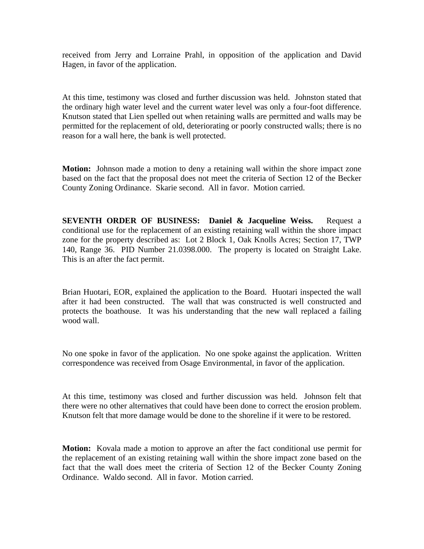received from Jerry and Lorraine Prahl, in opposition of the application and David Hagen, in favor of the application.

At this time, testimony was closed and further discussion was held. Johnston stated that the ordinary high water level and the current water level was only a four-foot difference. Knutson stated that Lien spelled out when retaining walls are permitted and walls may be permitted for the replacement of old, deteriorating or poorly constructed walls; there is no reason for a wall here, the bank is well protected.

**Motion:** Johnson made a motion to deny a retaining wall within the shore impact zone based on the fact that the proposal does not meet the criteria of Section 12 of the Becker County Zoning Ordinance. Skarie second. All in favor. Motion carried.

**SEVENTH ORDER OF BUSINESS: Daniel & Jacqueline Weiss.** Request a conditional use for the replacement of an existing retaining wall within the shore impact zone for the property described as: Lot 2 Block 1, Oak Knolls Acres; Section 17, TWP 140, Range 36. PID Number 21.0398.000. The property is located on Straight Lake. This is an after the fact permit.

Brian Huotari, EOR, explained the application to the Board. Huotari inspected the wall after it had been constructed. The wall that was constructed is well constructed and protects the boathouse. It was his understanding that the new wall replaced a failing wood wall.

No one spoke in favor of the application. No one spoke against the application. Written correspondence was received from Osage Environmental, in favor of the application.

At this time, testimony was closed and further discussion was held. Johnson felt that there were no other alternatives that could have been done to correct the erosion problem. Knutson felt that more damage would be done to the shoreline if it were to be restored.

**Motion:** Kovala made a motion to approve an after the fact conditional use permit for the replacement of an existing retaining wall within the shore impact zone based on the fact that the wall does meet the criteria of Section 12 of the Becker County Zoning Ordinance. Waldo second. All in favor. Motion carried.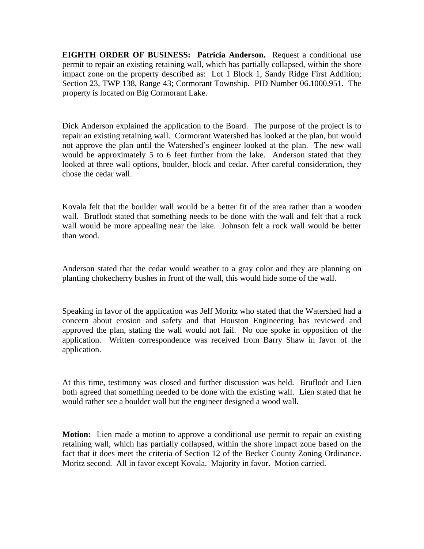**EIGHTH ORDER OF BUSINESS: Patricia Anderson.** Request a conditional use permit to repair an existing retaining wall, which has partially collapsed, within the shore impact zone on the property described as: Lot 1 Block 1, Sandy Ridge First Addition; Section 23, TWP 138, Range 43; Cormorant Township. PID Number 06.1000.951. The property is located on Big Cormorant Lake.

Dick Anderson explained the application to the Board. The purpose of the project is to repair an existing retaining wall. Cormorant Watershed has looked at the plan, but would not approve the plan until the Watershed's engineer looked at the plan. The new wall would be approximately 5 to 6 feet further from the lake. Anderson stated that they looked at three wall options, boulder, block and cedar. After careful consideration, they chose the cedar wall.

Kovala felt that the boulder wall would be a better fit of the area rather than a wooden wall. Bruflodt stated that something needs to be done with the wall and felt that a rock wall would be more appealing near the lake. Johnson felt a rock wall would be better than wood.

Anderson stated that the cedar would weather to a gray color and they are planning on planting chokecherry bushes in front of the wall, this would hide some of the wall.

Speaking in favor of the application was Jeff Moritz who stated that the Watershed had a concern about erosion and safety and that Houston Engineering has reviewed and approved the plan, stating the wall would not fail. No one spoke in opposition of the application. Written correspondence was received from Barry Shaw in favor of the application.

At this time, testimony was closed and further discussion was held. Bruflodt and Lien both agreed that something needed to be done with the existing wall. Lien stated that he would rather see a boulder wall but the engineer designed a wood wall.

**Motion:** Lien made a motion to approve a conditional use permit to repair an existing retaining wall, which has partially collapsed, within the shore impact zone based on the fact that it does meet the criteria of Section 12 of the Becker County Zoning Ordinance. Moritz second. All in favor except Kovala. Majority in favor. Motion carried.